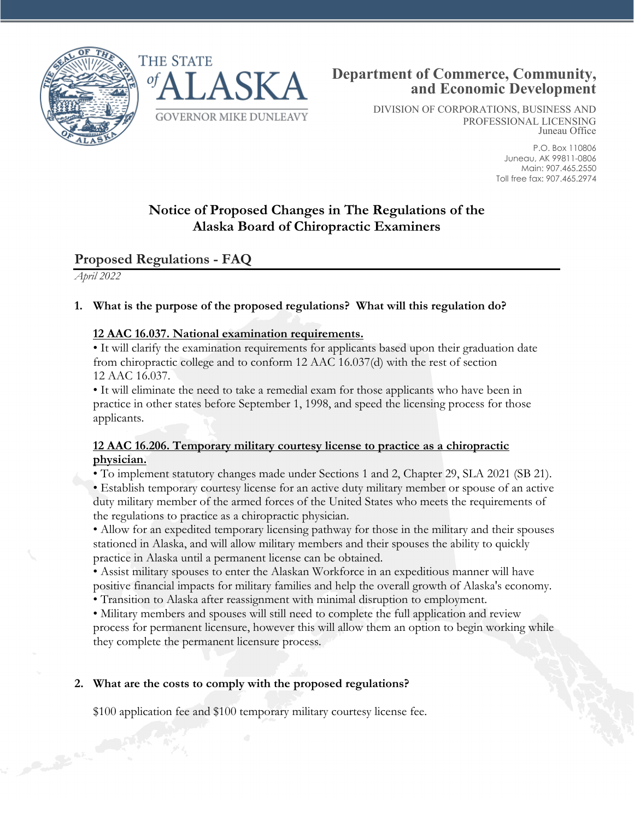



DIVISION OF CORPORATIONS, BUSINESS AND PROFESSIONAL LICENSING Juneau Office

> P.O. Box 110806 Juneau, AK 99811-0806 Main: 907.465.2550 Toll free fax: 907.465.2974

# **Notice of Proposed Changes in The Regulations of the Alaska Board of Chiropractic Examiners**

## **Proposed Regulations - FAQ**

*April 2022*

### **1. What is the purpose of the proposed regulations? What will this regulation do?**

#### **12 AAC 16.037. National examination requirements.**

• It will clarify the examination requirements for applicants based upon their graduation date from chiropractic college and to conform 12 AAC 16.037(d) with the rest of section 12 AAC 16.037.

• It will eliminate the need to take a remedial exam for those applicants who have been in practice in other states before September 1, 1998, and speed the licensing process for those applicants.

#### **12 AAC 16.206. Temporary military courtesy license to practice as a chiropractic physician.**

• To implement statutory changes made under Sections 1 and 2, Chapter 29, SLA 2021 (SB 21).

• Establish temporary courtesy license for an active duty military member or spouse of an active duty military member of the armed forces of the United States who meets the requirements of the regulations to practice as a chiropractic physician.

• Allow for an expedited temporary licensing pathway for those in the military and their spouses stationed in Alaska, and will allow military members and their spouses the ability to quickly practice in Alaska until a permanent license can be obtained.

• Assist military spouses to enter the Alaskan Workforce in an expeditious manner will have positive financial impacts for military families and help the overall growth of Alaska's economy.

• Transition to Alaska after reassignment with minimal disruption to employment.

• Military members and spouses will still need to complete the full application and review process for permanent licensure, however this will allow them an option to begin working while they complete the permanent licensure process.

#### **2. What are the costs to comply with the proposed regulations?**

\$100 application fee and \$100 temporary military courtesy license fee.